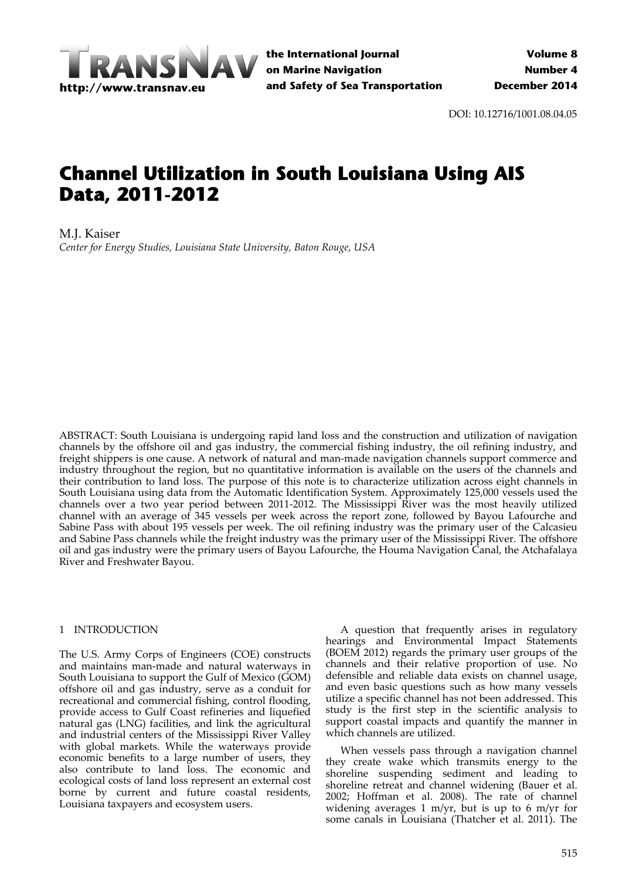

DOI: 10.12716/1001.08.04.05

# **Channel Utilization in South Louisiana Using AIS Data, 2011-2012**

M.J. Kaiser *Center for Energy Studies, Louisiana State University, Baton Rouge, USA*

ABSTRACT: South Louisiana is undergoing rapid land loss and the construction and utilization of navigation channels by the offshore oil and gas industry, the commercial fishing industry, the oil refining industry, and freight shippers is one cause. A network of natural and man-made navigation channels support commerce and industry throughout the region, but no quantitative information is available on the users of the channels and their contribution to land loss. The purpose of this note is to characterize utilization across eight channels in South Louisiana using data from the Automatic Identification System. Approximately 125,000 vessels used the channels over a two year period between 2011‐2012. The Mississippi River was the most heavily utilized channel with an average of 345 vessels per week across the report zone, followed by Bayou Lafourche and Sabine Pass with about 195 vessels per week. The oil refining industry was the primary user of the Calcasieu and Sabine Pass channels while the freight industry was the primary user of the Mississippi River. The offshore oil and gas industry were the primary users of Bayou Lafourche, the Houma Navigation Canal, the Atchafalaya River and Freshwater Bayou.

#### 1 INTRODUCTION

The U.S. Army Corps of Engineers (COE) constructs and maintains man‐made and natural waterways in South Louisiana to support the Gulf of Mexico (GOM) offshore oil and gas industry, serve as a conduit for recreational and commercial fishing, control flooding, provide access to Gulf Coast refineries and liquefied natural gas (LNG) facilities, and link the agricultural and industrial centers of the Mississippi River Valley with global markets. While the waterways provide economic benefits to a large number of users, they also contribute to land loss. The economic and ecological costs of land loss represent an external cost borne by current and future coastal residents, Louisiana taxpayers and ecosystem users.

A question that frequently arises in regulatory hearings and Environmental Impact Statements (BOEM 2012) regards the primary user groups of the channels and their relative proportion of use. No defensible and reliable data exists on channel usage, and even basic questions such as how many vessels utilize a specific channel has not been addressed. This study is the first step in the scientific analysis to support coastal impacts and quantify the manner in which channels are utilized.

When vessels pass through a navigation channel they create wake which transmits energy to the shoreline suspending sediment and leading to shoreline retreat and channel widening (Bauer et al. 2002; Hoffman et al. 2008). The rate of channel widening averages 1 m/yr, but is up to 6 m/yr for some canals in Louisiana (Thatcher et al. 2011). The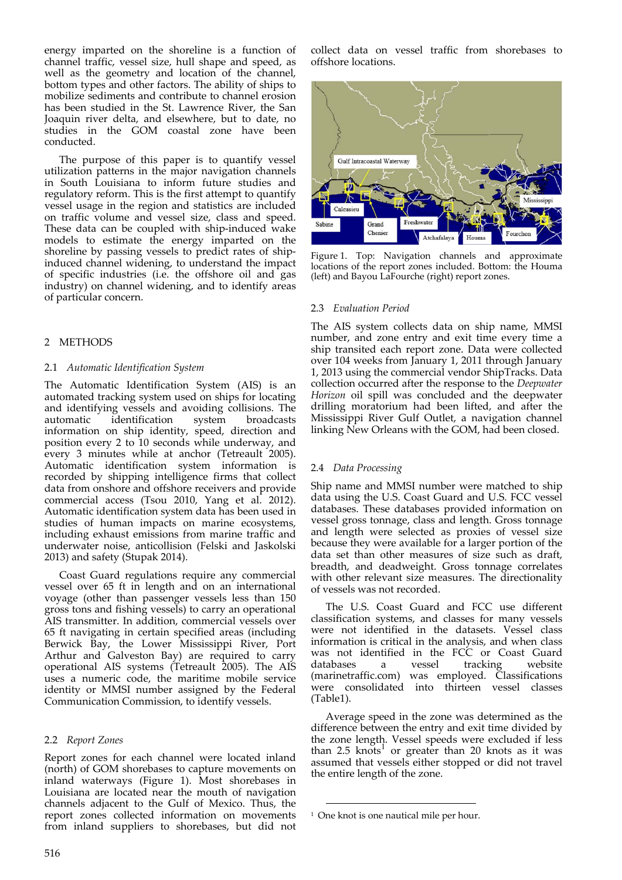energy imparted on the shoreline is a function of channel traffic, vessel size, hull shape and speed, as well as the geometry and location of the channel, bottom types and other factors. The ability of ships to mobilize sediments and contribute to channel erosion has been studied in the St. Lawrence River, the San Joaquin river delta, and elsewhere, but to date, no studies in the GOM coastal zone have been conducted.

The purpose of this paper is to quantify vessel utilization patterns in the major navigation channels in South Louisiana to inform future studies and regulatory reform. This is the first attempt to quantify vessel usage in the region and statistics are included on traffic volume and vessel size, class and speed. These data can be coupled with ship-induced wake models to estimate the energy imparted on the shoreline by passing vessels to predict rates of shipinduced channel widening, to understand the impact of specific industries (i.e. the offshore oil and gas industry) on channel widening, and to identify areas of particular concern.

# 2 METHODS

# 2.1 *Automatic Identification System*

The Automatic Identification System (AIS) is an automated tracking system used on ships for locating and identifying vessels and avoiding collisions. The automatic identification system broadcasts information on ship identity, speed, direction and position every 2 to 10 seconds while underway, and every 3 minutes while at anchor (Tetreault 2005). Automatic identification system information is recorded by shipping intelligence firms that collect data from onshore and offshore receivers and provide commercial access (Tsou 2010, Yang et al. 2012). Automatic identification system data has been used in studies of human impacts on marine ecosystems, including exhaust emissions from marine traffic and underwater noise, anticollision (Felski and Jaskolski 2013) and safety (Stupak 2014).

Coast Guard regulations require any commercial vessel over 65 ft in length and on an international voyage (other than passenger vessels less than 150 gross tons and fishing vessels) to carry an operational AIS transmitter. In addition, commercial vessels over 65 ft navigating in certain specified areas (including Berwick Bay, the Lower Mississippi River, Port Arthur and Galveston Bay) are required to carry operational AIS systems (Tetreault 2005). The AIS uses a numeric code, the maritime mobile service identity or MMSI number assigned by the Federal Communication Commission, to identify vessels.

# 2.2 *Report Zones*

Report zones for each channel were located inland (north) of GOM shorebases to capture movements on inland waterways (Figure 1). Most shorebases in Louisiana are located near the mouth of navigation channels adjacent to the Gulf of Mexico. Thus, the report zones collected information on movements from inland suppliers to shorebases, but did not collect data on vessel traffic from shorebases to offshore locations.



Figure 1. Top: Navigation channels and approximate locations of the report zones included. Bottom: the Houma (left) and Bayou LaFourche (right) report zones.

# 2.3 *Evaluation Period*

The AIS system collects data on ship name, MMSI number, and zone entry and exit time every time a ship transited each report zone. Data were collected over 104 weeks from January 1, 2011 through January 1, 2013 using the commercial vendor ShipTracks. Data collection occurred after the response to the *Deepwater Horizon* oil spill was concluded and the deepwater drilling moratorium had been lifted, and after the Mississippi River Gulf Outlet, a navigation channel linking New Orleans with the GOM, had been closed.

#### 2.4 *Data Processing*

Ship name and MMSI number were matched to ship data using the U.S. Coast Guard and U.S. FCC vessel databases. These databases provided information on vessel gross tonnage, class and length. Gross tonnage and length were selected as proxies of vessel size because they were available for a larger portion of the data set than other measures of size such as draft, breadth, and deadweight. Gross tonnage correlates with other relevant size measures. The directionality of vessels was not recorded.

The U.S. Coast Guard and FCC use different classification systems, and classes for many vessels were not identified in the datasets. Vessel class information is critical in the analysis, and when class was not identified in the FCC or Coast Guard databases a vessel tracking website (marinetraffic.com) was employed. Classifications were consolidated into thirteen vessel classes (Table1).

Average speed in the zone was determined as the difference between the entry and exit time divided by the zone length. Vessel speeds were excluded if less<br>than 2.5 knots<sup>1</sup> or greater than 20 knots as it was assumed that vessels either stopped or did not travel the entire length of the zone.

<sup>&</sup>lt;u> Andrew Maria (1989)</u> <sup>1</sup> One knot is one nautical mile per hour.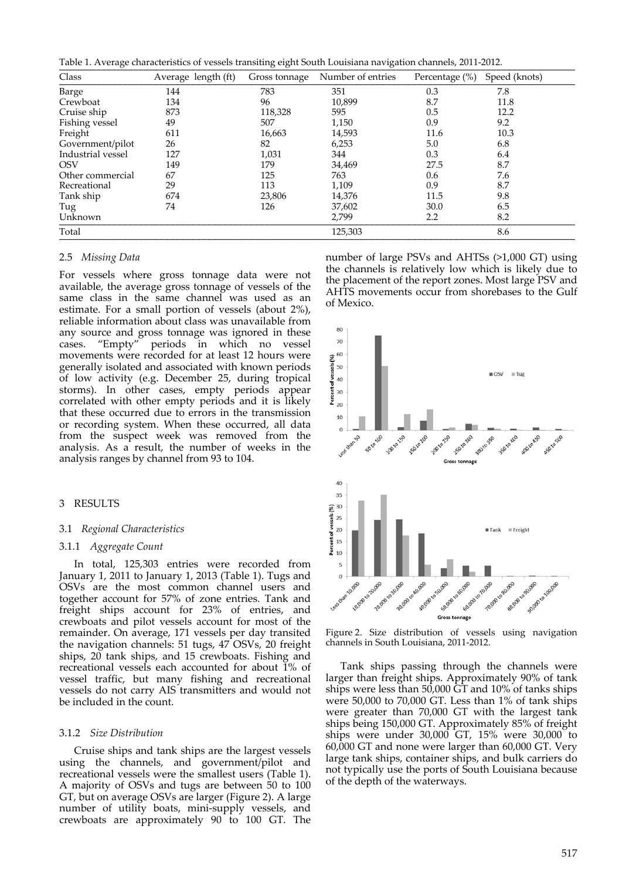Table 1. Average characteristics of vessels transiting eight South Louisiana navigation channels, 2011-2012.

| $\checkmark$<br>Class | Average length (ft) | $\mathbf{\mathcal{L}}$<br>◡<br>Gross tonnage | $\checkmark$<br>Number of entries | Percentage (%) | Speed (knots) |
|-----------------------|---------------------|----------------------------------------------|-----------------------------------|----------------|---------------|
| Barge                 | 144                 | 783                                          | 351                               | 0.3            | 7.8           |
| Crewboat              | 134                 | 96                                           | 10,899                            | 8.7            | 11.8          |
| Cruise ship           | 873                 | 118,328                                      | 595                               | 0.5            | 12.2          |
| Fishing vessel        | 49                  | 507                                          | 1,150                             | 0.9            | 9.2           |
| Freight               | 611                 | 16,663                                       | 14,593                            | 11.6           | 10.3          |
| Government/pilot      | 26                  | 82                                           | 6,253                             | 5.0            | 6.8           |
| Industrial vessel     | 127                 | 1,031                                        | 344                               | 0.3            | 6.4           |
| <b>OSV</b>            | 149                 | 179                                          | 34,469                            | 27.5           | 8.7           |
| Other commercial      | 67                  | 125                                          | 763                               | 0.6            | 7.6           |
| Recreational          | 29                  | 113                                          | 1,109                             | 0.9            | 8.7           |
| Tank ship             | 674                 | 23,806                                       | 14,376                            | 11.5           | 9.8           |
| Tug                   | 74                  | 126                                          | 37,602                            | 30.0           | 6.5           |
| Unknown               |                     |                                              | 2,799                             | 2.2            | 8.2           |
| Total                 |                     |                                              | 125,303                           |                | 8.6           |

#### 2.5 *Missing Data*

For vessels where gross tonnage data were not available, the average gross tonnage of vessels of the same class in the same channel was used as an estimate. For a small portion of vessels (about 2%), reliable information about class was unavailable from any source and gross tonnage was ignored in these cases. "Empty" periods in which no vessel movements were recorded for at least 12 hours were generally isolated and associated with known periods of low activity (e.g. December 25, during tropical storms). In other cases, empty periods appear correlated with other empty periods and it is likely that these occurred due to errors in the transmission or recording system. When these occurred, all data from the suspect week was removed from the analysis. As a result, the number of weeks in the analysis ranges by channel from 93 to 104.

#### 3 RESULTS

#### 3.1 *Regional Characteristics*

#### 3.1.1 *Aggregate Count*

In total, 125,303 entries were recorded from January 1, 2011 to January 1, 2013 (Table 1). Tugs and OSVs are the most common channel users and together account for 57% of zone entries. Tank and freight ships account for 23% of entries, and crewboats and pilot vessels account for most of the remainder. On average, 171 vessels per day transited the navigation channels: 51 tugs, 47 OSVs, 20 freight ships, 20 tank ships, and 15 crewboats. Fishing and recreational vessels each accounted for about 1% of vessel traffic, but many fishing and recreational vessels do not carry AIS transmitters and would not be included in the count.

#### 3.1.2 *Size Distribution*

Cruise ships and tank ships are the largest vessels using the channels, and government/pilot and recreational vessels were the smallest users (Table 1). A majority of OSVs and tugs are between 50 to 100 GT, but on average OSVs are larger (Figure 2). A large number of utility boats, mini‐supply vessels, and crewboats are approximately 90 to 100 GT. The number of large PSVs and AHTSs (>1,000 GT) using the channels is relatively low which is likely due to the placement of the report zones. Most large PSV and AHTS movements occur from shorebases to the Gulf of Mexico.



Figure 2. Size distribution of vessels using navigation channels in South Louisiana, 2011‐2012.

Tank ships passing through the channels were larger than freight ships. Approximately 90% of tank ships were less than  $50,000$  GT and  $10\%$  of tanks ships were 50,000 to 70,000 GT. Less than 1% of tank ships were greater than 70,000 GT with the largest tank ships being 150,000 GT. Approximately 85% of freight ships were under 30,000 GT, 15% were 30,000 to 60,000 GT and none were larger than 60,000 GT. Very large tank ships, container ships, and bulk carriers do not typically use the ports of South Louisiana because of the depth of the waterways.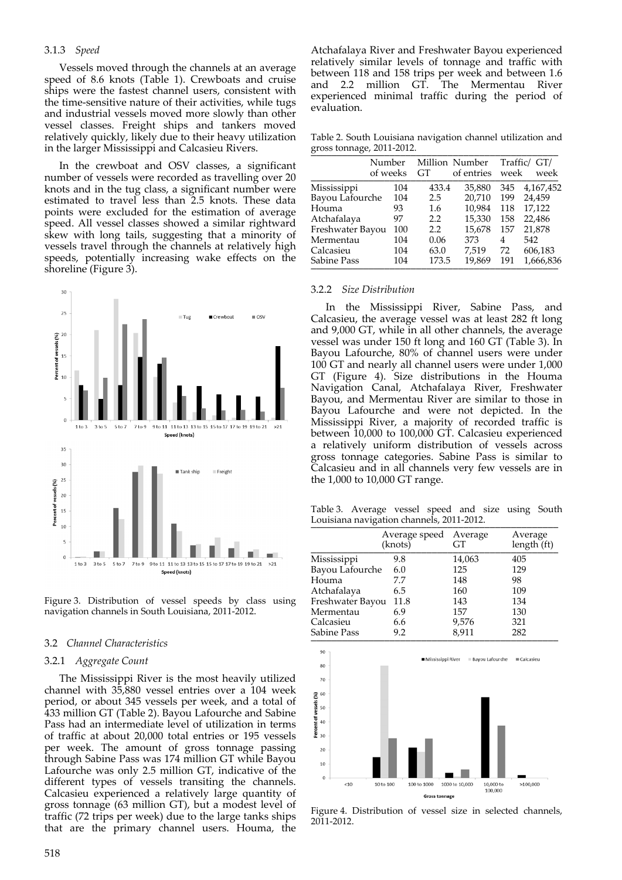#### 3.1.3 *Speed*

Vessels moved through the channels at an average speed of 8.6 knots (Table 1). Crewboats and cruise ships were the fastest channel users, consistent with the time‐sensitive nature of their activities, while tugs and industrial vessels moved more slowly than other vessel classes. Freight ships and tankers moved relatively quickly, likely due to their heavy utilization in the larger Mississippi and Calcasieu Rivers.

In the crewboat and OSV classes, a significant number of vessels were recorded as travelling over 20 knots and in the tug class, a significant number were estimated to travel less than 2.5 knots. These data points were excluded for the estimation of average speed. All vessel classes showed a similar rightward skew with long tails, suggesting that a minority of vessels travel through the channels at relatively high speeds, potentially increasing wake effects on the shoreline (Figure 3).



Figure 3. Distribution of vessel speeds by class using navigation channels in South Louisiana, 2011‐2012.

#### 3.2 *Channel Characteristics*

#### 3.2.1 *Aggregate Count*

The Mississippi River is the most heavily utilized channel with 35,880 vessel entries over a 104 week period, or about 345 vessels per week, and a total of 433 million GT (Table 2). Bayou Lafourche and Sabine Pass had an intermediate level of utilization in terms of traffic at about 20,000 total entries or 195 vessels per week. The amount of gross tonnage passing through Sabine Pass was 174 million GT while Bayou Lafourche was only 2.5 million GT, indicative of the different types of vessels transiting the channels. Calcasieu experienced a relatively large quantity of gross tonnage (63 million GT), but a modest level of traffic (72 trips per week) due to the large tanks ships that are the primary channel users. Houma, the Atchafalaya River and Freshwater Bayou experienced relatively similar levels of tonnage and traffic with between 118 and 158 trips per week and between 1.6 and 2.2 million GT. The Mermentau River experienced minimal traffic during the period of evaluation.

Table 2. South Louisiana navigation channel utilization and gross tonnage, <sup>2011</sup>‐2012. \_\_\_\_\_\_\_\_\_\_\_\_\_\_\_\_\_\_\_\_\_\_\_\_\_\_\_\_\_\_\_\_\_\_\_\_\_\_\_\_\_\_\_\_\_\_\_

| $\cdot$          | Number   |       | Million Number |      | Traffic/ GT/ |
|------------------|----------|-------|----------------|------|--------------|
|                  | of weeks | GT    | of entries     | week | week         |
| Mississippi      | 104      | 433.4 | 35,880         | 345  | 4,167,452    |
| Bayou Lafourche  | 104      | 2.5   | 20,710         | 199  | 24,459       |
| Houma            | 93       | 1.6   | 10,984         | 118  | 17,122       |
| Atchafalaya      | 97       | 2.2   | 15,330         | 158  | 22,486       |
| Freshwater Bayou | 100      | 2.2   | 15,678         | 157  | 21,878       |
| Mermentau        | 104      | 0.06  | 373            | 4    | 542          |
| Calcasieu        | 104      | 63.0  | 7,519          | 72   | 606,183      |
| Sabine Pass      | 104      | 173.5 | 19,869         | 191  | 1,666,836    |

#### 3.2.2 *Size Distribution*

In the Mississippi River, Sabine Pass, and Calcasieu, the average vessel was at least 282 ft long and 9,000 GT, while in all other channels, the average vessel was under 150 ft long and 160 GT (Table 3). In Bayou Lafourche, 80% of channel users were under 100 GT and nearly all channel users were under 1,000 GT (Figure 4). Size distributions in the Houma Navigation Canal, Atchafalaya River, Freshwater Bayou, and Mermentau River are similar to those in Bayou Lafourche and were not depicted. In the Mississippi River, a majority of recorded traffic is between 10,000 to 100,000 GT. Calcasieu experienced a relatively uniform distribution of vessels across gross tonnage categories. Sabine Pass is similar to Calcasieu and in all channels very few vessels are in the 1,000 to 10,000 GT range.

Table 3. Average vessel speed and size using South Louisiana navigation channels, 2011-2012.

|                  | Average speed<br>(knots) | Average<br>GT | Average<br>length (ft) |
|------------------|--------------------------|---------------|------------------------|
| Mississippi      | 9.8                      | 14,063        | 405                    |
| Bayou Lafourche  | 6.0                      | 125           | 129                    |
| Houma            | 7.7                      | 148           | 98                     |
| Atchafalaya      | 6.5                      | 160           | 109                    |
| Freshwater Bayou | 11.8                     | 143           | 134                    |
| Mermentau        | 6.9                      | 157           | 130                    |
| Calcasieu        | 6.6                      | 9,576         | 321                    |
| Sabine Pass      | 9.2                      | 8,911         | 282                    |



Figure 4. Distribution of vessel size in selected channels, 2011‐2012.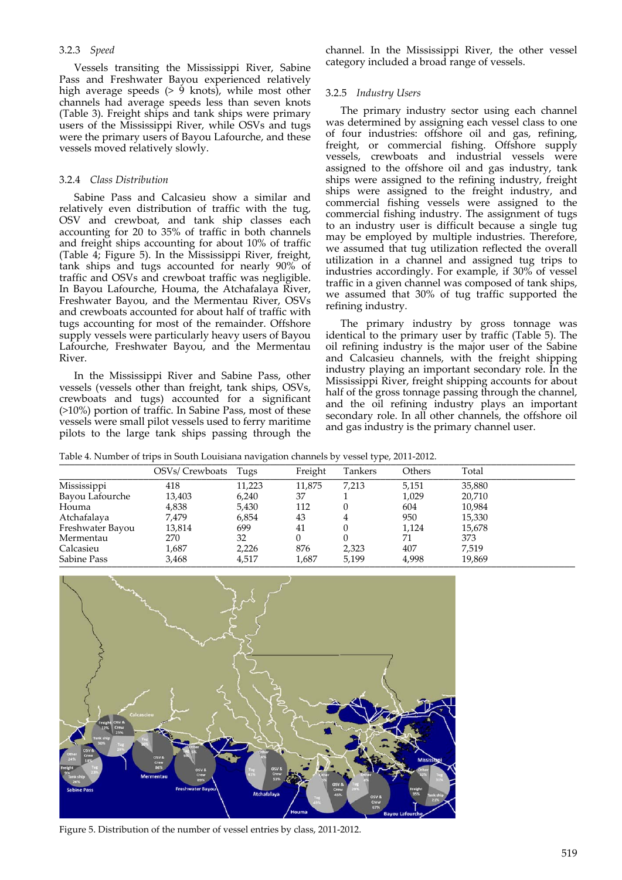# 3.2.3 *Speed*

Vessels transiting the Mississippi River, Sabine Pass and Freshwater Bayou experienced relatively high average speeds  $(> 9 \text{ knots})$ , while most other channels had average speeds less than seven knots (Table 3). Freight ships and tank ships were primary users of the Mississippi River, while OSVs and tugs were the primary users of Bayou Lafourche, and these vessels moved relatively slowly.

# 3.2.4 *Class Distribution*

Sabine Pass and Calcasieu show a similar and relatively even distribution of traffic with the tug, OSV and crewboat, and tank ship classes each accounting for 20 to 35% of traffic in both channels and freight ships accounting for about 10% of traffic (Table 4; Figure 5). In the Mississippi River, freight, tank ships and tugs accounted for nearly 90% of traffic and OSVs and crewboat traffic was negligible. In Bayou Lafourche, Houma, the Atchafalaya River, Freshwater Bayou, and the Mermentau River, OSVs and crewboats accounted for about half of traffic with tugs accounting for most of the remainder. Offshore supply vessels were particularly heavy users of Bayou Lafourche, Freshwater Bayou, and the Mermentau River.

In the Mississippi River and Sabine Pass, other vessels (vessels other than freight, tank ships, OSVs, crewboats and tugs) accounted for a significant (>10%) portion of traffic. In Sabine Pass, most of these vessels were small pilot vessels used to ferry maritime pilots to the large tank ships passing through the

channel. In the Mississippi River, the other vessel category included a broad range of vessels.

#### 3.2.5 *Industry Users*

The primary industry sector using each channel was determined by assigning each vessel class to one of four industries: offshore oil and gas, refining, freight, or commercial fishing. Offshore supply vessels, crewboats and industrial vessels were assigned to the offshore oil and gas industry, tank ships were assigned to the refining industry, freight ships were assigned to the freight industry, and commercial fishing vessels were assigned to the commercial fishing industry. The assignment of tugs to an industry user is difficult because a single tug may be employed by multiple industries. Therefore, we assumed that tug utilization reflected the overall utilization in a channel and assigned tug trips to industries accordingly. For example, if 30% of vessel traffic in a given channel was composed of tank ships, we assumed that 30% of tug traffic supported the refining industry.

The primary industry by gross tonnage was identical to the primary user by traffic (Table 5). The oil refining industry is the major user of the Sabine and Calcasieu channels, with the freight shipping industry playing an important secondary role. In the Mississippi River, freight shipping accounts for about half of the gross tonnage passing through the channel, and the oil refining industry plays an important secondary role. In all other channels, the offshore oil and gas industry is the primary channel user.

Table 4. Number of trips in South Louisiana navigation channels by vessel type, 2011-2012.

|                  |                 | $\cdot$ |         | $\overline{\phantom{a}}$ |        |        |
|------------------|-----------------|---------|---------|--------------------------|--------|--------|
|                  | OSVs/ Crewboats | Tugs    | Freight | Tankers                  | Others | Total  |
| Mississippi      | 418             | 11,223  | 11.875  | 7,213                    | 5,151  | 35,880 |
| Bayou Lafourche  | 13,403          | 6,240   | 37      |                          | 1,029  | 20,710 |
| Houma            | 4,838           | 5,430   | 112     |                          | 604    | 10,984 |
| Atchafalaya      | 7,479           | 6,854   | 43      |                          | 950    | 15,330 |
| Freshwater Bayou | 13,814          | 699     | 41      |                          | 1.124  | 15,678 |
| Mermentau        | 270             | 32      |         |                          | 71     | 373    |
| Calcasieu        | 1,687           | 2,226   | 876     | 2,323                    | 407    | 7.519  |
| Sabine Pass      | 3,468           | 4,517   | 1,687   | 5,199                    | 4,998  | 19,869 |



Figure 5. Distribution of the number of vessel entries by class, 2011‐2012.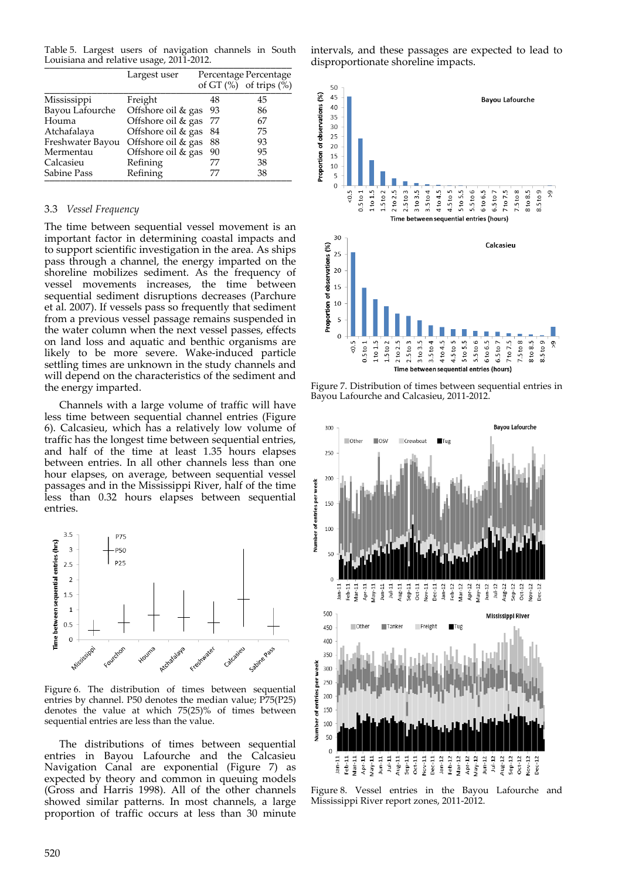Table 5. Largest users of navigation channels in South Louisiana and relative usage, 2011-2012.

|                  | Largest user       |     | Percentage Percentage        |  |
|------------------|--------------------|-----|------------------------------|--|
|                  |                    |     | of GT $(\%)$ of trips $(\%)$ |  |
| Mississippi      | Freight            | 48  | 45                           |  |
| Bayou Lafourche  | Offshore oil & gas | -93 | 86                           |  |
| Houma            | Offshore oil & gas | 77  | 67                           |  |
| Atchafalaya      | Offshore oil & gas | 84  | 75                           |  |
| Freshwater Bayou | Offshore oil & gas | 88  | 93                           |  |
| Mermentau        | Offshore oil & gas | 90  | 95                           |  |
| Calcasieu        | Refining           | 77  | 38                           |  |
| Sabine Pass      | Refining           | 77  | 38                           |  |

#### 3.3 *Vessel Frequency*

The time between sequential vessel movement is an important factor in determining coastal impacts and to support scientific investigation in the area. As ships pass through a channel, the energy imparted on the shoreline mobilizes sediment. As the frequency of vessel movements increases, the time between sequential sediment disruptions decreases (Parchure et al. 2007). If vessels pass so frequently that sediment from a previous vessel passage remains suspended in the water column when the next vessel passes, effects on land loss and aquatic and benthic organisms are likely to be more severe. Wake‐induced particle settling times are unknown in the study channels and will depend on the characteristics of the sediment and the energy imparted.

Channels with a large volume of traffic will have less time between sequential channel entries (Figure 6). Calcasieu, which has a relatively low volume of traffic has the longest time between sequential entries, and half of the time at least 1.35 hours elapses between entries. In all other channels less than one hour elapses, on average, between sequential vessel passages and in the Mississippi River, half of the time less than 0.32 hours elapses between sequential entries.



Figure 6. The distribution of times between sequential entries by channel. P50 denotes the median value; P75(P25) denotes the value at which 75(25)% of times between sequential entries are less than the value.

The distributions of times between sequential entries in Bayou Lafourche and the Calcasieu Navigation Canal are exponential (Figure 7) as expected by theory and common in queuing models (Gross and Harris 1998). All of the other channels showed similar patterns. In most channels, a large proportion of traffic occurs at less than 30 minute

intervals, and these passages are expected to lead to disproportionate shoreline impacts.



Figure 7. Distribution of times between sequential entries in Bayou Lafourche and Calcasieu, 2011‐2012.



Figure 8. Vessel entries in the Bayou Lafourche and Mississippi River report zones, 2011‐2012.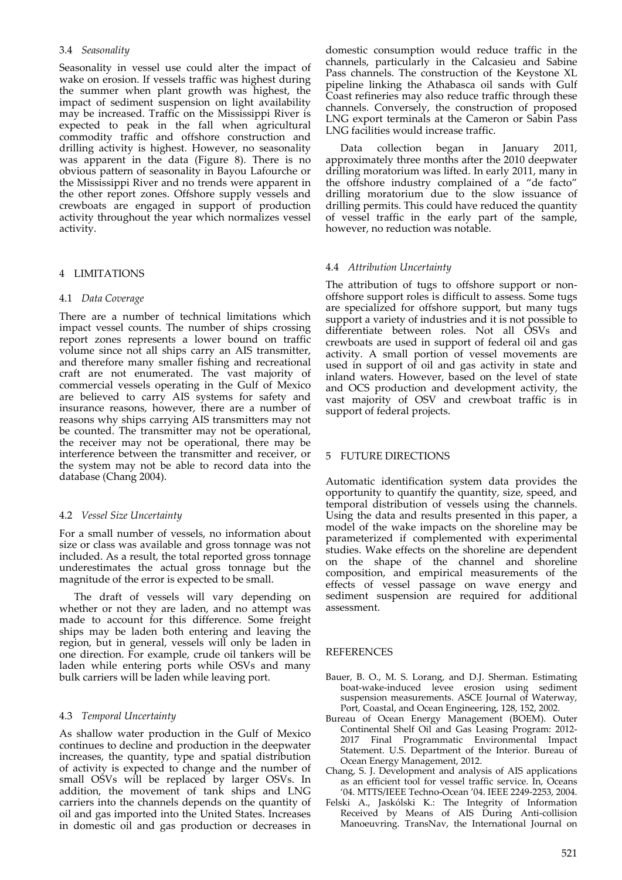# 3.4 *Seasonality*

Seasonality in vessel use could alter the impact of wake on erosion. If vessels traffic was highest during the summer when plant growth was highest, the impact of sediment suspension on light availability may be increased. Traffic on the Mississippi River is expected to peak in the fall when agricultural commodity traffic and offshore construction and drilling activity is highest. However, no seasonality was apparent in the data (Figure 8). There is no obvious pattern of seasonality in Bayou Lafourche or the Mississippi River and no trends were apparent in the other report zones. Offshore supply vessels and crewboats are engaged in support of production activity throughout the year which normalizes vessel activity.

# 4 LIMITATIONS

#### 4.1 *Data Coverage*

There are a number of technical limitations which impact vessel counts. The number of ships crossing report zones represents a lower bound on traffic volume since not all ships carry an AIS transmitter, and therefore many smaller fishing and recreational craft are not enumerated. The vast majority of commercial vessels operating in the Gulf of Mexico are believed to carry AIS systems for safety and insurance reasons, however, there are a number of reasons why ships carrying AIS transmitters may not be counted. The transmitter may not be operational, the receiver may not be operational, there may be interference between the transmitter and receiver, or the system may not be able to record data into the database (Chang 2004).

#### 4.2 *Vessel Size Uncertainty*

For a small number of vessels, no information about size or class was available and gross tonnage was not included. As a result, the total reported gross tonnage underestimates the actual gross tonnage but the magnitude of the error is expected to be small.

The draft of vessels will vary depending on whether or not they are laden, and no attempt was made to account for this difference. Some freight ships may be laden both entering and leaving the region, but in general, vessels will only be laden in one direction. For example, crude oil tankers will be laden while entering ports while OSVs and many bulk carriers will be laden while leaving port.

#### 4.3 *Temporal Uncertainty*

As shallow water production in the Gulf of Mexico continues to decline and production in the deepwater increases, the quantity, type and spatial distribution of activity is expected to change and the number of small OSVs will be replaced by larger OSVs. In addition, the movement of tank ships and LNG carriers into the channels depends on the quantity of oil and gas imported into the United States. Increases in domestic oil and gas production or decreases in

domestic consumption would reduce traffic in the channels, particularly in the Calcasieu and Sabine Pass channels. The construction of the Keystone XL pipeline linking the Athabasca oil sands with Gulf Coast refineries may also reduce traffic through these channels. Conversely, the construction of proposed LNG export terminals at the Cameron or Sabin Pass LNG facilities would increase traffic.

Data collection began in January 2011, approximately three months after the 2010 deepwater drilling moratorium was lifted. In early 2011, many in the offshore industry complained of a "de facto" drilling moratorium due to the slow issuance of drilling permits. This could have reduced the quantity of vessel traffic in the early part of the sample, however, no reduction was notable.

# 4.4 *Attribution Uncertainty*

The attribution of tugs to offshore support or non‐ offshore support roles is difficult to assess. Some tugs are specialized for offshore support, but many tugs support a variety of industries and it is not possible to differentiate between roles. Not all OSVs and crewboats are used in support of federal oil and gas activity. A small portion of vessel movements are used in support of oil and gas activity in state and inland waters. However, based on the level of state and OCS production and development activity, the vast majority of OSV and crewboat traffic is in support of federal projects.

# 5 FUTURE DIRECTIONS

Automatic identification system data provides the opportunity to quantify the quantity, size, speed, and temporal distribution of vessels using the channels. Using the data and results presented in this paper, a model of the wake impacts on the shoreline may be parameterized if complemented with experimental studies. Wake effects on the shoreline are dependent on the shape of the channel and shoreline composition, and empirical measurements of the effects of vessel passage on wave energy and sediment suspension are required for additional assessment.

#### REFERENCES

- Bauer, B. O., M. S. Lorang, and D.J. Sherman. Estimating boat‐wake‐induced levee erosion using sediment suspension measurements. ASCE Journal of Waterway, Port, Coastal, and Ocean Engineering, 128, 152, 2002.
- Bureau of Ocean Energy Management (BOEM). Outer Continental Shelf Oil and Gas Leasing Program: 2012‐ 2017 Final Programmatic Environmental Impact Statement. U.S. Department of the Interior. Bureau of Ocean Energy Management, 2012.
- Chang, S. J. Development and analysis of AIS applications as an efficient tool for vessel traffic service. In, Oceans '04. MTTS/IEEE Techno‐Ocean '04. IEEE 2249‐2253, 2004.
- Felski A., Jaskólski K.: The Integrity of Information Received by Means of AIS During Anti-collision Manoeuvring. TransNav, the International Journal on